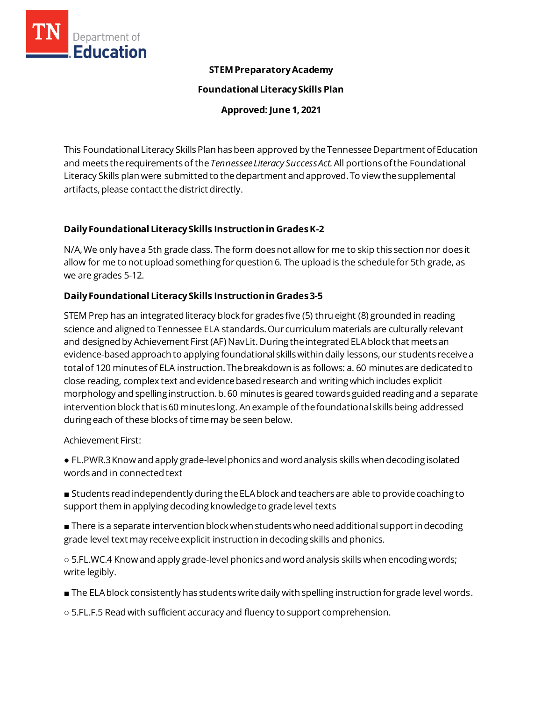

#### **STEM Preparatory Academy**

**Foundational Literacy Skills Plan**

**Approved: June 1, 2021**

This Foundational Literacy Skills Plan has been approved by the Tennessee Department of Education and meets the requirementsof the *Tennessee Literacy Success Act.*All portionsofthe Foundational Literacy Skills plan were submitted to the department and approved. To view the supplemental artifacts, please contact the district directly.

### **Daily Foundational Literacy Skills Instructionin GradesK-2**

N/A, We only have a 5th grade class. The form does not allow for me to skip this section nor does it allow for me to not upload something for question 6. The upload is the schedule for 5th grade, as we are grades 5-12.

### **Daily Foundational Literacy Skills Instruction in Grades 3-5**

STEM Prep has an integrated literacy block for grades five (5) thru eight (8) grounded in reading science and aligned to Tennessee ELA standards. Our curriculum materials are culturally relevant and designed by Achievement First (AF) NavLit. During the integrated ELA block that meets an evidence-based approach to applying foundational skills within daily lessons, our students receive a total of 120 minutes of ELA instruction. The breakdown is as follows: a. 60 minutes are dedicated to close reading, complex text and evidence based research and writing which includes explicit morphology and spelling instruction. b. 60 minutes is geared towards guided reading and a separate intervention block that is 60 minutes long. An example of the foundational skills being addressed during each of these blocks of time may be seen below.

Achievement First:

● FL.PWR.3 Know and apply grade-level phonics and word analysis skills when decoding isolated words and in connected text

■ Students read independently during the ELA block and teachers are able to provide coaching to support them in applying decoding knowledge to grade level texts

■ There is a separate intervention block when students who need additional support in decoding grade level text may receive explicit instruction in decoding skills and phonics.

○ 5.FL.WC.4 Know and apply grade-level phonics and word analysis skills when encoding words; write legibly.

- The ELA block consistently has students write daily with spelling instruction for grade level words.
- 5.FL.F.5 Read with sufficient accuracy and fluency to support comprehension.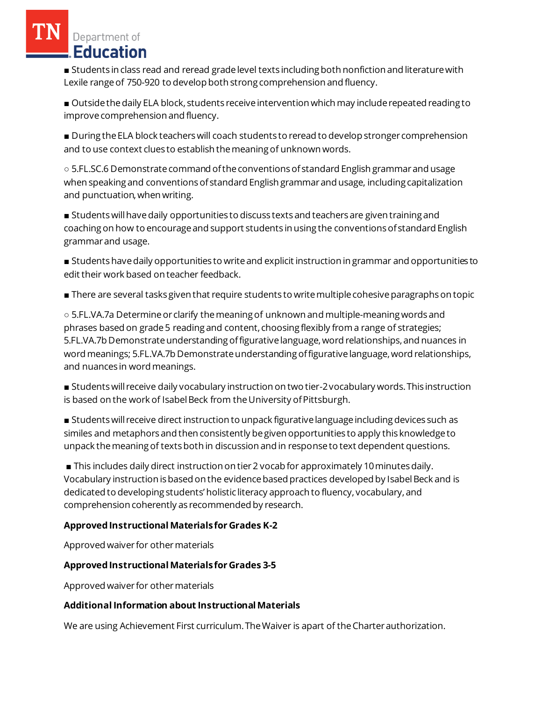■ Students in class read and reread grade level texts including both nonfiction and literature with Lexile range of 750-920 to develop both strong comprehension and fluency.

■ Outside the daily ELA block, students receive intervention which may include repeated reading to improve comprehension and fluency.

■ During the ELA block teachers will coach students to reread to develop stronger comprehension and to use context clues to establish the meaning of unknown words.

○ 5.FL.SC.6 Demonstrate command of the conventions of standard English grammar and usage when speaking and conventions of standard English grammar and usage, including capitalization and punctuation, when writing.

■ Students will have daily opportunities to discuss texts and teachers are given training and coaching on how to encourage and support students in using the conventions of standard English grammar and usage.

■ Students have daily opportunities to write and explicit instruction in grammar and opportunities to edit their work based on teacher feedback.

■ There are several tasks given that require students to write multiple cohesive paragraphs on topic

○ 5.FL.VA.7a Determine or clarify the meaning of unknown and multiple-meaning words and phrases based on grade 5 reading and content, choosing flexibly from a range of strategies; 5.FL.VA.7b Demonstrate understanding of figurative language, word relationships, and nuances in word meanings; 5.FL.VA.7b Demonstrate understanding of figurative language, word relationships, and nuances in word meanings.

■ Students will receive daily vocabulary instruction on two tier-2 vocabulary words. This instruction is based on the work of Isabel Beck from the University of Pittsburgh.

■ Students will receive direct instruction to unpack figurative language including devices such as similes and metaphors and then consistently be given opportunities to apply this knowledge to unpack the meaning of texts both in discussion and in response to text dependent questions.

■ This includes daily direct instruction on tier 2 vocab for approximately 10 minutes daily. Vocabulary instruction is based on the evidence based practices developed by Isabel Beck and is dedicated to developing students' holistic literacy approach to fluency, vocabulary, and comprehension coherently as recommended by research.

## **Approved Instructional Materialsfor Grades K-2**

Approved waiver for other materials

## **Approved Instructional Materials for Grades 3-5**

Approved waiver for other materials

## **AdditionalInformation about Instructional Materials**

We are using Achievement First curriculum. The Waiver is apart of the Charter authorization.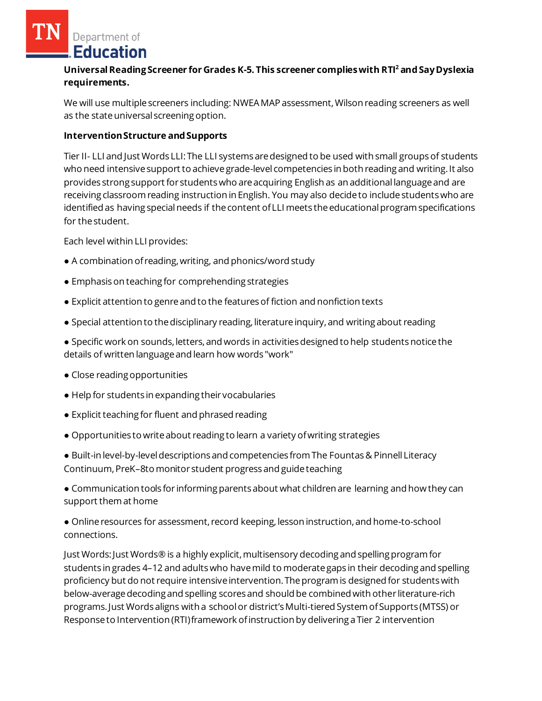### **Universal Reading Screener for Grades K-5. This screener complies with RTI<sup>2</sup>and Say Dyslexia requirements.**

We will use multiple screeners including: NWEA MAP assessment, Wilson reading screeners as well as the state universal screening option.

### **Intervention Structure and Supports**

Tier II- LLI and Just Words LLI: The LLI systems are designed to be used with small groups of students who need intensive support to achieve grade-level competencies in both reading and writing. It also provides strong support for students who are acquiring English as an additional language and are receiving classroom reading instruction in English. You may also decide to include students who are identified as having special needs if the content of LLI meets the educational program specifications for the student.

Each level within LLI provides:

- A combination of reading, writing, and phonics/word study
- Emphasis on teaching for comprehending strategies
- Explicit attention to genre and to the features of fiction and nonfiction texts
- Special attention to the disciplinary reading, literature inquiry, and writing about reading
- Specific work on sounds, letters, and words in activities designed to help students notice the details of written language and learn how words "work"
- Close reading opportunities
- Help for students in expanding their vocabularies
- Explicit teaching for fluent and phrased reading
- Opportunities to write about reading to learn a variety of writing strategies
- Built-in level-by-level descriptions and competencies from The Fountas & Pinnell Literacy Continuum, PreK–8to monitor student progress and guide teaching

● Communication tools for informing parents about what children are learning and how they can support them at home

● Online resources for assessment, record keeping, lesson instruction, and home-to-school connections.

Just Words: Just Words® is a highly explicit, multisensory decoding and spelling program for students in grades 4–12 and adults who have mild to moderate gaps in their decoding and spelling proficiency but do not require intensive intervention. The program is designed for students with below-average decoding and spelling scores and should be combined with other literature-rich programs. Just Words aligns with a school or district's Multi-tiered System of Supports (MTSS) or Response to Intervention (RTI) framework of instruction by delivering a Tier 2 intervention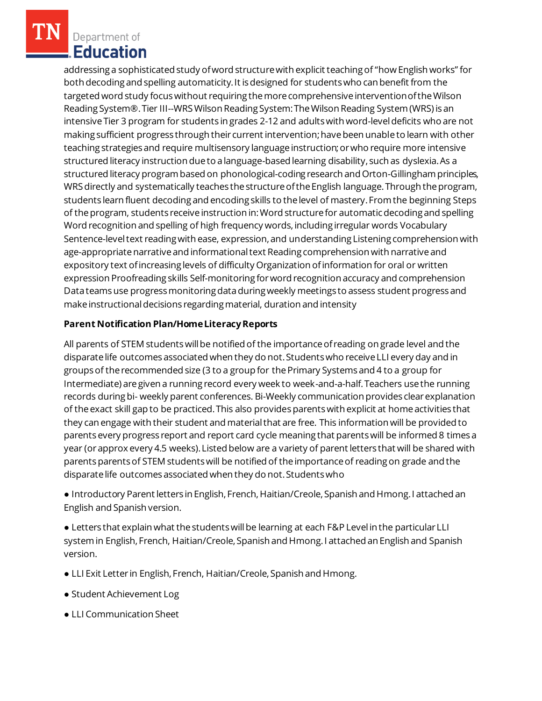addressing a sophisticated study of word structure with explicit teaching of "how English works" for both decoding and spelling automaticity. It is designed for students who can benefit from the targeted word study focus without requiring the more comprehensive intervention of the Wilson Reading System®. Tier III--WRS Wilson Reading System: The Wilson Reading System (WRS) is an intensive Tier 3 program for students in grades 2-12 and adults with word-level deficits who are not making sufficient progress through their current intervention; have been unable to learn with other teaching strategies and require multisensory language instruction; or who require more intensive structured literacy instruction due to a language-based learning disability, such as dyslexia. As a structured literacy program based on phonological-coding research and Orton-Gillingham principles, WRS directly and systematically teaches the structure of the English language. Through the program, students learn fluent decoding and encoding skills to the level of mastery. From the beginning Steps of the program, students receive instruction in: Word structure for automatic decoding and spelling Word recognition and spelling of high frequency words, including irregular words Vocabulary Sentence-level text reading with ease, expression, and understanding Listening comprehension with age-appropriate narrative and informational text Reading comprehension with narrative and expository text of increasing levels of difficulty Organization of information for oral or written expression Proofreading skills Self-monitoring for word recognition accuracy and comprehension Data teams use progress monitoring data during weekly meetings to assess student progress and make instructional decisions regarding material, duration and intensity

### **Parent Notification Plan/HomeLiteracyReports**

All parents of STEM students will be notified of the importance of reading on grade level and the disparate life outcomes associated when they do not. Students who receive LLI every day and in groups of the recommended size (3 to a group for the Primary Systems and 4 to a group for Intermediate) are given a running record every week to week-and-a-half. Teachers use the running records during bi- weekly parent conferences. Bi-Weekly communication provides clear explanation of the exact skill gap to be practiced. This also provides parents with explicit at home activities that they can engage with their student and material that are free. This information will be provided to parents every progress report and report card cycle meaning that parents will be informed 8 times a year (or approx every 4.5 weeks). Listed below are a variety of parent letters that will be shared with parents parents of STEM students will be notified of the importance of reading on grade and the disparate life outcomes associated when they do not. Students who

● Introductory Parent letters in English, French, Haitian/Creole, Spanish and Hmong. I attached an English and Spanish version.

● Letters that explain what the students will be learning at each F&P Level in the particular LLI system in English, French, Haitian/Creole, Spanish and Hmong. I attached an English and Spanish version.

- LLI Exit Letter in English, French, Haitian/Creole, Spanish and Hmong.
- Student Achievement Log
- LLI Communication Sheet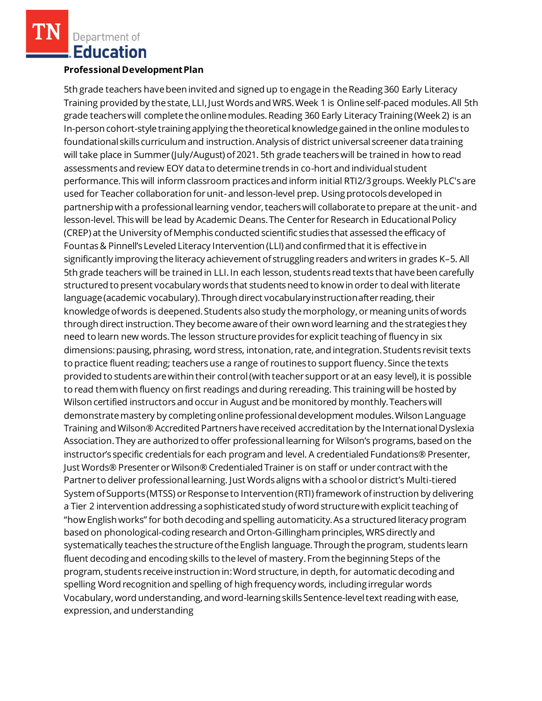#### **Professional Development Plan**

5th grade teachers have been invited and signed up to engage in the Reading 360 Early Literacy Training provided by the state, LLI, Just Words and WRS. Week 1 is Online self-paced modules. All 5th grade teachers will complete the online modules. Reading 360 Early Literacy Training (Week 2) is an In-person cohort-style training applying the theoretical knowledge gained in the online modules to foundational skills curriculum and instruction. Analysis of district universal screener data training will take place in Summer (July/August) of 2021. 5th grade teachers will be trained in how to read assessments and review EOY data to determine trends in co-hort and individual student performance. This will inform classroom practices and inform initial RTI2/3 groups. Weekly PLC's are used for Teacher collaboration for unit-and lesson-level prep. Using protocols developed in partnership with a professional learning vendor, teachers will collaborate to prepare at the unit-and lesson-level. This will be lead by Academic Deans. The Center for Research in Educational Policy (CREP) at the University of Memphis conducted scientific studies that assessed the efficacy of Fountas & Pinnell's Leveled Literacy Intervention (LLI) and confirmed that it is effective in significantly improving the literacy achievement of struggling readers and writers in grades K–5. All 5th grade teachers will be trained in LLI. In each lesson, students read texts that have been carefully structured to present vocabulary words that students need to know in order to deal with literate language (academic vocabulary). Through direct vocabulary instruction after reading, their knowledge of words is deepened. Students also study the morphology, or meaning units of words through direct instruction. They become aware of their own word learning and the strategies they need to learn new words. The lesson structure provides for explicit teaching of fluency in six dimensions: pausing, phrasing, word stress, intonation, rate, and integration. Students revisit texts to practice fluent reading; teachers use a range of routines to support fluency. Since the texts provided to students are within their control (with teacher support or at an easy level), it is possible to read them with fluency on first readings and during rereading. This training will be hosted by Wilson certified instructors and occur in August and be monitored by monthly. Teachers will demonstrate mastery by completing online professional development modules. Wilson Language Training and Wilson® Accredited Partners have received accreditation by the International Dyslexia Association. They are authorized to offer professional learning for Wilson's programs, based on the instructor's specific credentials for each program and level. A credentialed Fundations® Presenter, Just Words® Presenter or Wilson® Credentialed Trainer is on staff or under contract with the Partner to deliver professional learning. Just Words aligns with a school or district's Multi-tiered System of Supports (MTSS) or Response to Intervention (RTI) framework of instruction by delivering a Tier 2 intervention addressing a sophisticated study of word structure with explicit teaching of "how English works" for both decoding and spelling automaticity. As a structured literacy program based on phonological-coding research and Orton-Gillingham principles, WRS directly and systematically teaches the structure of the English language. Through the program, students learn fluent decoding and encoding skills to the level of mastery. From the beginning Steps of the program, students receive instruction in: Word structure, in depth, for automatic decoding and spelling Word recognition and spelling of high frequency words, including irregular words Vocabulary, word understanding, and word-learning skills Sentence-level text reading with ease, expression, and understanding